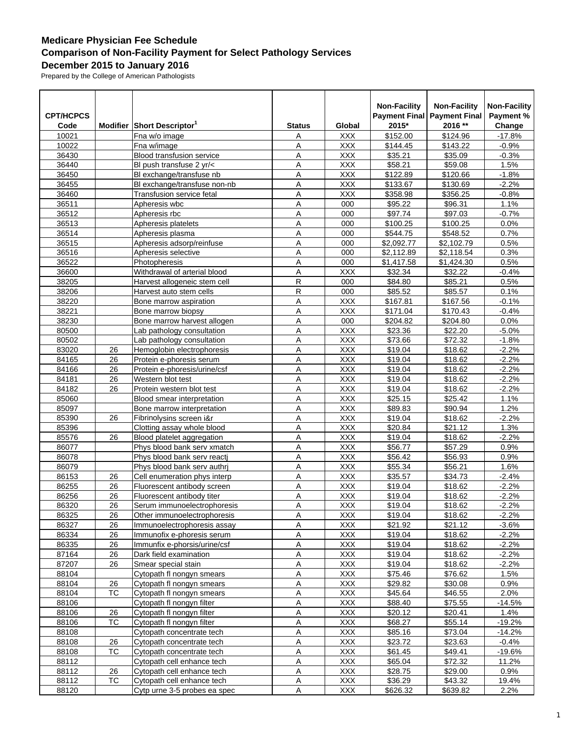## **Medicare Physician Fee Schedule Comparison of Non-Facility Payment for Select Pathology Services December 2015 to January 2016**

Prepared by the College of American Pathologists

| 2016 **<br>Modifier Short Descriptor <sup>1</sup><br>2015*<br>Change<br>Code<br><b>Status</b><br>Global<br>\$152.00<br>\$124.96<br>$-17.8%$<br>10021<br><b>XXX</b><br>Fna w/o image<br>Α<br>10022<br>\$144.45<br>\$143.22<br>$-0.9%$<br>Fna w/image<br>Α<br><b>XXX</b><br>A<br><b>XXX</b><br>\$35.09<br>36430<br>Blood transfusion service<br>\$35.21<br>$-0.3%$<br>A<br>36440<br>Bl push transfuse 2 yr/<<br><b>XXX</b><br>\$58.21<br>\$59.08<br>1.5%<br><b>XXX</b><br>\$122.89<br>\$120.66<br>36450<br>Bl exchange/transfuse nb<br>Α<br>$-1.8%$<br>Bl exchange/transfuse non-nb<br>36455<br>Α<br>\$133.67<br>$-2.2%$<br><b>XXX</b><br>\$130.69<br>36460<br>A<br><b>XXX</b><br>\$358.98<br><b>Transfusion service fetal</b><br>\$356.25<br>-0.8%<br>36511<br>A<br>000<br>\$95.22<br>\$96.31<br>1.1%<br>Apheresis wbc<br>\$97.74<br>\$97.03<br>36512<br>Apheresis rbc<br>Α<br>000<br>$-0.7%$<br>36513<br>Α<br>\$100.25<br>\$100.25<br>0.0%<br>Apheresis platelets<br>000<br>36514<br>A<br>\$544.75<br>Apheresis plasma<br>000<br>\$548.52<br>0.7%<br>A<br>36515<br>\$2,092.77<br>\$2,102.79<br>0.5%<br>Apheresis adsorp/reinfuse<br>000<br>\$2,118.54<br>36516<br>Apheresis selective<br>Α<br>000<br>\$2,112.89<br>0.3%<br>36522<br>Photopheresis<br>Α<br>\$1,417.58<br>\$1,424.30<br>0.5%<br>000<br>36600<br>Α<br>\$32.34<br>\$32.22<br>Withdrawal of arterial blood<br><b>XXX</b><br>$-0.4%$<br>R<br>38205<br>000<br>\$84.80<br>\$85.21<br>0.5%<br>Harvest allogeneic stem cell<br>$\mathsf R$<br>\$85.52<br>\$85.57<br>38206<br>000<br>0.1%<br>Harvest auto stem cells<br>\$167.81<br>38220<br>Α<br><b>XXX</b><br>\$167.56<br>Bone marrow aspiration<br>$-0.1%$<br>38221<br>A<br><b>XXX</b><br>Bone marrow biopsy<br>\$171.04<br>\$170.43<br>$-0.4%$<br>A<br>38230<br>000<br>\$204.82<br>\$204.80<br>0.0%<br>Bone marrow harvest allogen<br>80500<br><b>XXX</b><br>\$22.20<br>Lab pathology consultation<br>Α<br>\$23.36<br>$-5.0%$<br>80502<br>Lab pathology consultation<br>Α<br><b>XXX</b><br>\$73.66<br>\$72.32<br>$-1.8%$<br>83020<br>Α<br><b>XXX</b><br>\$19.04<br>\$18.62<br>Hemoglobin electrophoresis<br>$-2.2%$<br>26<br>A<br><b>XXX</b><br>\$19.04<br>84165<br>Protein e-phoresis serum<br>\$18.62<br>$-2.2%$<br>26<br><b>XXX</b><br>\$19.04<br>$-2.2%$<br>84166<br>26<br>Protein e-phoresis/urine/csf<br>Α<br>\$18.62<br>84181<br>Western blot test<br>Α<br><b>XXX</b><br>\$19.04<br>\$18.62<br>$-2.2%$<br>26<br>84182<br>A<br><b>XXX</b><br>26<br>Protein western blot test<br>\$19.04<br>\$18.62<br>$-2.2%$<br>A<br>85060<br><b>XXX</b><br>\$25.15<br>\$25.42<br>1.1%<br>Blood smear interpretation<br><b>XXX</b><br>\$89.83<br>1.2%<br>85097<br>Bone marrow interpretation<br>Α<br>\$90.94<br>85390<br>26<br>Fibrinolysins screen i&r<br>Α<br>\$19.04<br><b>XXX</b><br>\$18.62<br>$-2.2%$<br>Α<br><b>XXX</b><br>\$20.84<br>1.3%<br>85396<br>Clotting assay whole blood<br>\$21.12<br>85576<br>A<br><b>XXX</b><br>\$19.04<br>26<br>Blood platelet aggregation<br>\$18.62<br>$-2.2%$<br><b>XXX</b><br>86077<br>Phys blood bank serv xmatch<br>Α<br>\$56.77<br>\$57.29<br>0.9%<br>86078<br>Phys blood bank sery reacti<br>Α<br>XXX<br>\$56.42<br>\$56.93<br>0.9%<br>A<br><b>XXX</b><br>86079<br>Phys blood bank serv authrj<br>\$55.34<br>\$56.21<br>1.6%<br>Α<br>86153<br><b>XXX</b><br>\$35.57<br>\$34.73<br>$-2.4%$<br>26<br>Cell enumeration phys interp<br>86255<br>$-2.2%$<br>26<br>Fluorescent antibody screen<br>Α<br><b>XXX</b><br>\$19.04<br>\$18.62<br>86256<br>Α<br>26<br>Fluorescent antibody titer<br><b>XXX</b><br>\$19.04<br>\$18.62<br>$-2.2%$<br><b>XXX</b><br>86320<br>26<br>Serum immunoelectrophoresis<br>\$19.04<br>\$18.62<br>$-2.2%$<br>$\overline{A}$<br>Α<br>86325<br>26<br>XXX<br>\$19.04<br>\$18.62<br>$-2.2%$<br>Other immunoelectrophoresis<br>\$21.92<br>\$21.12<br>86327<br>26<br>Immunoelectrophoresis assay<br>Α<br><b>XXX</b><br>$-3.6%$<br>86334<br>26<br>Immunofix e-phoresis serum<br>Α<br>XXX<br>\$19.04<br>\$18.62<br>$-2.2%$<br>26<br>Α<br><b>XXX</b><br>\$19.04<br>\$18.62<br>$-2.2%$<br>86335<br>Immunfix e-phorsis/urine/csf<br>A<br>87164<br><b>XXX</b><br>\$19.04<br>\$18.62<br>26<br>Dark field examination<br>$-2.2%$<br>87207<br>26<br>Α<br><b>XXX</b><br>\$19.04<br>\$18.62<br>$-2.2%$<br>Smear special stain<br>\$75.46<br>\$76.62<br>88104<br>Cytopath fl nongyn smears<br>Α<br>XXX<br>1.5%<br>Α<br>88104<br><b>XXX</b><br>\$29.82<br>\$30.08<br>0.9%<br>26<br>Cytopath fl nongyn smears<br><b>TC</b><br>Α<br><b>XXX</b><br>\$45.64<br>2.0%<br>88104<br>Cytopath fl nongyn smears<br>\$46.55<br>Cytopath fl nongyn filter<br>\$88.40<br>\$75.55<br>88106<br>Α<br><b>XXX</b><br>$-14.5%$<br>Cytopath fl nongyn filter<br>88106<br>26<br>Α<br>XXX<br>\$20.12<br>\$20.41<br>1.4%<br>TC<br>Α<br>88106<br><b>XXX</b><br>\$68.27<br>\$55.14<br>Cytopath fl nongyn filter<br>$-19.2%$<br>A<br>88108<br><b>XXX</b><br>\$85.16<br>\$73.04<br>Cytopath concentrate tech<br>$-14.2%$<br>88108<br>Α<br><b>XXX</b><br>\$23.72<br>\$23.63<br>26<br>Cytopath concentrate tech<br>$-0.4%$<br>88108<br>ТC<br>Cytopath concentrate tech<br>Α<br>XXX<br>\$61.45<br>\$49.41<br>$-19.6%$<br>Α<br>\$72.32<br>88112<br><b>XXX</b><br>\$65.04<br>11.2%<br>Cytopath cell enhance tech<br>$\sf A$<br><b>XXX</b><br>\$28.75<br>\$29.00<br>88112<br>26<br>Cytopath cell enhance tech<br>0.9%<br>88112<br>ТC<br><b>XXX</b><br>\$36.29<br>\$43.32<br>Cytopath cell enhance tech<br>Α<br>19.4% | <b>CPT/HCPCS</b> |                              |   |            | <b>Non-Facility</b> | <b>Non-Facility</b><br><b>Payment Final Payment Final</b> | <b>Non-Facility</b><br>Payment % |
|------------------------------------------------------------------------------------------------------------------------------------------------------------------------------------------------------------------------------------------------------------------------------------------------------------------------------------------------------------------------------------------------------------------------------------------------------------------------------------------------------------------------------------------------------------------------------------------------------------------------------------------------------------------------------------------------------------------------------------------------------------------------------------------------------------------------------------------------------------------------------------------------------------------------------------------------------------------------------------------------------------------------------------------------------------------------------------------------------------------------------------------------------------------------------------------------------------------------------------------------------------------------------------------------------------------------------------------------------------------------------------------------------------------------------------------------------------------------------------------------------------------------------------------------------------------------------------------------------------------------------------------------------------------------------------------------------------------------------------------------------------------------------------------------------------------------------------------------------------------------------------------------------------------------------------------------------------------------------------------------------------------------------------------------------------------------------------------------------------------------------------------------------------------------------------------------------------------------------------------------------------------------------------------------------------------------------------------------------------------------------------------------------------------------------------------------------------------------------------------------------------------------------------------------------------------------------------------------------------------------------------------------------------------------------------------------------------------------------------------------------------------------------------------------------------------------------------------------------------------------------------------------------------------------------------------------------------------------------------------------------------------------------------------------------------------------------------------------------------------------------------------------------------------------------------------------------------------------------------------------------------------------------------------------------------------------------------------------------------------------------------------------------------------------------------------------------------------------------------------------------------------------------------------------------------------------------------------------------------------------------------------------------------------------------------------------------------------------------------------------------------------------------------------------------------------------------------------------------------------------------------------------------------------------------------------------------------------------------------------------------------------------------------------------------------------------------------------------------------------------------------------------------------------------------------------------------------------------------------------------------------------------------------------------------------------------------------------------------------------------------------------------------------------------------------------------------------------------------------------------------------------------------------------------------------------------------------------------------------------------------------------------------------------------------------------------------------------------------------------------------------------------------------------------------------------------------------------------------------------------------------------------------------------------------------------------------------------------------------------------------------------------------------------------------------------------------------------------------------------------------------------------------------------------------------------------------------------------------------------------------------------------------------------------------------------------------------------------------------------------------------------------------------------------------------|------------------|------------------------------|---|------------|---------------------|-----------------------------------------------------------|----------------------------------|
|                                                                                                                                                                                                                                                                                                                                                                                                                                                                                                                                                                                                                                                                                                                                                                                                                                                                                                                                                                                                                                                                                                                                                                                                                                                                                                                                                                                                                                                                                                                                                                                                                                                                                                                                                                                                                                                                                                                                                                                                                                                                                                                                                                                                                                                                                                                                                                                                                                                                                                                                                                                                                                                                                                                                                                                                                                                                                                                                                                                                                                                                                                                                                                                                                                                                                                                                                                                                                                                                                                                                                                                                                                                                                                                                                                                                                                                                                                                                                                                                                                                                                                                                                                                                                                                                                                                                                                                                                                                                                                                                                                                                                                                                                                                                                                                                                                                                                                                                                                                                                                                                                                                                                                                                                                                                                                                                                                                                                                    |                  |                              |   |            |                     |                                                           |                                  |
|                                                                                                                                                                                                                                                                                                                                                                                                                                                                                                                                                                                                                                                                                                                                                                                                                                                                                                                                                                                                                                                                                                                                                                                                                                                                                                                                                                                                                                                                                                                                                                                                                                                                                                                                                                                                                                                                                                                                                                                                                                                                                                                                                                                                                                                                                                                                                                                                                                                                                                                                                                                                                                                                                                                                                                                                                                                                                                                                                                                                                                                                                                                                                                                                                                                                                                                                                                                                                                                                                                                                                                                                                                                                                                                                                                                                                                                                                                                                                                                                                                                                                                                                                                                                                                                                                                                                                                                                                                                                                                                                                                                                                                                                                                                                                                                                                                                                                                                                                                                                                                                                                                                                                                                                                                                                                                                                                                                                                                    |                  |                              |   |            |                     |                                                           |                                  |
|                                                                                                                                                                                                                                                                                                                                                                                                                                                                                                                                                                                                                                                                                                                                                                                                                                                                                                                                                                                                                                                                                                                                                                                                                                                                                                                                                                                                                                                                                                                                                                                                                                                                                                                                                                                                                                                                                                                                                                                                                                                                                                                                                                                                                                                                                                                                                                                                                                                                                                                                                                                                                                                                                                                                                                                                                                                                                                                                                                                                                                                                                                                                                                                                                                                                                                                                                                                                                                                                                                                                                                                                                                                                                                                                                                                                                                                                                                                                                                                                                                                                                                                                                                                                                                                                                                                                                                                                                                                                                                                                                                                                                                                                                                                                                                                                                                                                                                                                                                                                                                                                                                                                                                                                                                                                                                                                                                                                                                    |                  |                              |   |            |                     |                                                           |                                  |
|                                                                                                                                                                                                                                                                                                                                                                                                                                                                                                                                                                                                                                                                                                                                                                                                                                                                                                                                                                                                                                                                                                                                                                                                                                                                                                                                                                                                                                                                                                                                                                                                                                                                                                                                                                                                                                                                                                                                                                                                                                                                                                                                                                                                                                                                                                                                                                                                                                                                                                                                                                                                                                                                                                                                                                                                                                                                                                                                                                                                                                                                                                                                                                                                                                                                                                                                                                                                                                                                                                                                                                                                                                                                                                                                                                                                                                                                                                                                                                                                                                                                                                                                                                                                                                                                                                                                                                                                                                                                                                                                                                                                                                                                                                                                                                                                                                                                                                                                                                                                                                                                                                                                                                                                                                                                                                                                                                                                                                    |                  |                              |   |            |                     |                                                           |                                  |
|                                                                                                                                                                                                                                                                                                                                                                                                                                                                                                                                                                                                                                                                                                                                                                                                                                                                                                                                                                                                                                                                                                                                                                                                                                                                                                                                                                                                                                                                                                                                                                                                                                                                                                                                                                                                                                                                                                                                                                                                                                                                                                                                                                                                                                                                                                                                                                                                                                                                                                                                                                                                                                                                                                                                                                                                                                                                                                                                                                                                                                                                                                                                                                                                                                                                                                                                                                                                                                                                                                                                                                                                                                                                                                                                                                                                                                                                                                                                                                                                                                                                                                                                                                                                                                                                                                                                                                                                                                                                                                                                                                                                                                                                                                                                                                                                                                                                                                                                                                                                                                                                                                                                                                                                                                                                                                                                                                                                                                    |                  |                              |   |            |                     |                                                           |                                  |
|                                                                                                                                                                                                                                                                                                                                                                                                                                                                                                                                                                                                                                                                                                                                                                                                                                                                                                                                                                                                                                                                                                                                                                                                                                                                                                                                                                                                                                                                                                                                                                                                                                                                                                                                                                                                                                                                                                                                                                                                                                                                                                                                                                                                                                                                                                                                                                                                                                                                                                                                                                                                                                                                                                                                                                                                                                                                                                                                                                                                                                                                                                                                                                                                                                                                                                                                                                                                                                                                                                                                                                                                                                                                                                                                                                                                                                                                                                                                                                                                                                                                                                                                                                                                                                                                                                                                                                                                                                                                                                                                                                                                                                                                                                                                                                                                                                                                                                                                                                                                                                                                                                                                                                                                                                                                                                                                                                                                                                    |                  |                              |   |            |                     |                                                           |                                  |
|                                                                                                                                                                                                                                                                                                                                                                                                                                                                                                                                                                                                                                                                                                                                                                                                                                                                                                                                                                                                                                                                                                                                                                                                                                                                                                                                                                                                                                                                                                                                                                                                                                                                                                                                                                                                                                                                                                                                                                                                                                                                                                                                                                                                                                                                                                                                                                                                                                                                                                                                                                                                                                                                                                                                                                                                                                                                                                                                                                                                                                                                                                                                                                                                                                                                                                                                                                                                                                                                                                                                                                                                                                                                                                                                                                                                                                                                                                                                                                                                                                                                                                                                                                                                                                                                                                                                                                                                                                                                                                                                                                                                                                                                                                                                                                                                                                                                                                                                                                                                                                                                                                                                                                                                                                                                                                                                                                                                                                    |                  |                              |   |            |                     |                                                           |                                  |
|                                                                                                                                                                                                                                                                                                                                                                                                                                                                                                                                                                                                                                                                                                                                                                                                                                                                                                                                                                                                                                                                                                                                                                                                                                                                                                                                                                                                                                                                                                                                                                                                                                                                                                                                                                                                                                                                                                                                                                                                                                                                                                                                                                                                                                                                                                                                                                                                                                                                                                                                                                                                                                                                                                                                                                                                                                                                                                                                                                                                                                                                                                                                                                                                                                                                                                                                                                                                                                                                                                                                                                                                                                                                                                                                                                                                                                                                                                                                                                                                                                                                                                                                                                                                                                                                                                                                                                                                                                                                                                                                                                                                                                                                                                                                                                                                                                                                                                                                                                                                                                                                                                                                                                                                                                                                                                                                                                                                                                    |                  |                              |   |            |                     |                                                           |                                  |
|                                                                                                                                                                                                                                                                                                                                                                                                                                                                                                                                                                                                                                                                                                                                                                                                                                                                                                                                                                                                                                                                                                                                                                                                                                                                                                                                                                                                                                                                                                                                                                                                                                                                                                                                                                                                                                                                                                                                                                                                                                                                                                                                                                                                                                                                                                                                                                                                                                                                                                                                                                                                                                                                                                                                                                                                                                                                                                                                                                                                                                                                                                                                                                                                                                                                                                                                                                                                                                                                                                                                                                                                                                                                                                                                                                                                                                                                                                                                                                                                                                                                                                                                                                                                                                                                                                                                                                                                                                                                                                                                                                                                                                                                                                                                                                                                                                                                                                                                                                                                                                                                                                                                                                                                                                                                                                                                                                                                                                    |                  |                              |   |            |                     |                                                           |                                  |
|                                                                                                                                                                                                                                                                                                                                                                                                                                                                                                                                                                                                                                                                                                                                                                                                                                                                                                                                                                                                                                                                                                                                                                                                                                                                                                                                                                                                                                                                                                                                                                                                                                                                                                                                                                                                                                                                                                                                                                                                                                                                                                                                                                                                                                                                                                                                                                                                                                                                                                                                                                                                                                                                                                                                                                                                                                                                                                                                                                                                                                                                                                                                                                                                                                                                                                                                                                                                                                                                                                                                                                                                                                                                                                                                                                                                                                                                                                                                                                                                                                                                                                                                                                                                                                                                                                                                                                                                                                                                                                                                                                                                                                                                                                                                                                                                                                                                                                                                                                                                                                                                                                                                                                                                                                                                                                                                                                                                                                    |                  |                              |   |            |                     |                                                           |                                  |
|                                                                                                                                                                                                                                                                                                                                                                                                                                                                                                                                                                                                                                                                                                                                                                                                                                                                                                                                                                                                                                                                                                                                                                                                                                                                                                                                                                                                                                                                                                                                                                                                                                                                                                                                                                                                                                                                                                                                                                                                                                                                                                                                                                                                                                                                                                                                                                                                                                                                                                                                                                                                                                                                                                                                                                                                                                                                                                                                                                                                                                                                                                                                                                                                                                                                                                                                                                                                                                                                                                                                                                                                                                                                                                                                                                                                                                                                                                                                                                                                                                                                                                                                                                                                                                                                                                                                                                                                                                                                                                                                                                                                                                                                                                                                                                                                                                                                                                                                                                                                                                                                                                                                                                                                                                                                                                                                                                                                                                    |                  |                              |   |            |                     |                                                           |                                  |
|                                                                                                                                                                                                                                                                                                                                                                                                                                                                                                                                                                                                                                                                                                                                                                                                                                                                                                                                                                                                                                                                                                                                                                                                                                                                                                                                                                                                                                                                                                                                                                                                                                                                                                                                                                                                                                                                                                                                                                                                                                                                                                                                                                                                                                                                                                                                                                                                                                                                                                                                                                                                                                                                                                                                                                                                                                                                                                                                                                                                                                                                                                                                                                                                                                                                                                                                                                                                                                                                                                                                                                                                                                                                                                                                                                                                                                                                                                                                                                                                                                                                                                                                                                                                                                                                                                                                                                                                                                                                                                                                                                                                                                                                                                                                                                                                                                                                                                                                                                                                                                                                                                                                                                                                                                                                                                                                                                                                                                    |                  |                              |   |            |                     |                                                           |                                  |
|                                                                                                                                                                                                                                                                                                                                                                                                                                                                                                                                                                                                                                                                                                                                                                                                                                                                                                                                                                                                                                                                                                                                                                                                                                                                                                                                                                                                                                                                                                                                                                                                                                                                                                                                                                                                                                                                                                                                                                                                                                                                                                                                                                                                                                                                                                                                                                                                                                                                                                                                                                                                                                                                                                                                                                                                                                                                                                                                                                                                                                                                                                                                                                                                                                                                                                                                                                                                                                                                                                                                                                                                                                                                                                                                                                                                                                                                                                                                                                                                                                                                                                                                                                                                                                                                                                                                                                                                                                                                                                                                                                                                                                                                                                                                                                                                                                                                                                                                                                                                                                                                                                                                                                                                                                                                                                                                                                                                                                    |                  |                              |   |            |                     |                                                           |                                  |
|                                                                                                                                                                                                                                                                                                                                                                                                                                                                                                                                                                                                                                                                                                                                                                                                                                                                                                                                                                                                                                                                                                                                                                                                                                                                                                                                                                                                                                                                                                                                                                                                                                                                                                                                                                                                                                                                                                                                                                                                                                                                                                                                                                                                                                                                                                                                                                                                                                                                                                                                                                                                                                                                                                                                                                                                                                                                                                                                                                                                                                                                                                                                                                                                                                                                                                                                                                                                                                                                                                                                                                                                                                                                                                                                                                                                                                                                                                                                                                                                                                                                                                                                                                                                                                                                                                                                                                                                                                                                                                                                                                                                                                                                                                                                                                                                                                                                                                                                                                                                                                                                                                                                                                                                                                                                                                                                                                                                                                    |                  |                              |   |            |                     |                                                           |                                  |
|                                                                                                                                                                                                                                                                                                                                                                                                                                                                                                                                                                                                                                                                                                                                                                                                                                                                                                                                                                                                                                                                                                                                                                                                                                                                                                                                                                                                                                                                                                                                                                                                                                                                                                                                                                                                                                                                                                                                                                                                                                                                                                                                                                                                                                                                                                                                                                                                                                                                                                                                                                                                                                                                                                                                                                                                                                                                                                                                                                                                                                                                                                                                                                                                                                                                                                                                                                                                                                                                                                                                                                                                                                                                                                                                                                                                                                                                                                                                                                                                                                                                                                                                                                                                                                                                                                                                                                                                                                                                                                                                                                                                                                                                                                                                                                                                                                                                                                                                                                                                                                                                                                                                                                                                                                                                                                                                                                                                                                    |                  |                              |   |            |                     |                                                           |                                  |
|                                                                                                                                                                                                                                                                                                                                                                                                                                                                                                                                                                                                                                                                                                                                                                                                                                                                                                                                                                                                                                                                                                                                                                                                                                                                                                                                                                                                                                                                                                                                                                                                                                                                                                                                                                                                                                                                                                                                                                                                                                                                                                                                                                                                                                                                                                                                                                                                                                                                                                                                                                                                                                                                                                                                                                                                                                                                                                                                                                                                                                                                                                                                                                                                                                                                                                                                                                                                                                                                                                                                                                                                                                                                                                                                                                                                                                                                                                                                                                                                                                                                                                                                                                                                                                                                                                                                                                                                                                                                                                                                                                                                                                                                                                                                                                                                                                                                                                                                                                                                                                                                                                                                                                                                                                                                                                                                                                                                                                    |                  |                              |   |            |                     |                                                           |                                  |
|                                                                                                                                                                                                                                                                                                                                                                                                                                                                                                                                                                                                                                                                                                                                                                                                                                                                                                                                                                                                                                                                                                                                                                                                                                                                                                                                                                                                                                                                                                                                                                                                                                                                                                                                                                                                                                                                                                                                                                                                                                                                                                                                                                                                                                                                                                                                                                                                                                                                                                                                                                                                                                                                                                                                                                                                                                                                                                                                                                                                                                                                                                                                                                                                                                                                                                                                                                                                                                                                                                                                                                                                                                                                                                                                                                                                                                                                                                                                                                                                                                                                                                                                                                                                                                                                                                                                                                                                                                                                                                                                                                                                                                                                                                                                                                                                                                                                                                                                                                                                                                                                                                                                                                                                                                                                                                                                                                                                                                    |                  |                              |   |            |                     |                                                           |                                  |
|                                                                                                                                                                                                                                                                                                                                                                                                                                                                                                                                                                                                                                                                                                                                                                                                                                                                                                                                                                                                                                                                                                                                                                                                                                                                                                                                                                                                                                                                                                                                                                                                                                                                                                                                                                                                                                                                                                                                                                                                                                                                                                                                                                                                                                                                                                                                                                                                                                                                                                                                                                                                                                                                                                                                                                                                                                                                                                                                                                                                                                                                                                                                                                                                                                                                                                                                                                                                                                                                                                                                                                                                                                                                                                                                                                                                                                                                                                                                                                                                                                                                                                                                                                                                                                                                                                                                                                                                                                                                                                                                                                                                                                                                                                                                                                                                                                                                                                                                                                                                                                                                                                                                                                                                                                                                                                                                                                                                                                    |                  |                              |   |            |                     |                                                           |                                  |
|                                                                                                                                                                                                                                                                                                                                                                                                                                                                                                                                                                                                                                                                                                                                                                                                                                                                                                                                                                                                                                                                                                                                                                                                                                                                                                                                                                                                                                                                                                                                                                                                                                                                                                                                                                                                                                                                                                                                                                                                                                                                                                                                                                                                                                                                                                                                                                                                                                                                                                                                                                                                                                                                                                                                                                                                                                                                                                                                                                                                                                                                                                                                                                                                                                                                                                                                                                                                                                                                                                                                                                                                                                                                                                                                                                                                                                                                                                                                                                                                                                                                                                                                                                                                                                                                                                                                                                                                                                                                                                                                                                                                                                                                                                                                                                                                                                                                                                                                                                                                                                                                                                                                                                                                                                                                                                                                                                                                                                    |                  |                              |   |            |                     |                                                           |                                  |
|                                                                                                                                                                                                                                                                                                                                                                                                                                                                                                                                                                                                                                                                                                                                                                                                                                                                                                                                                                                                                                                                                                                                                                                                                                                                                                                                                                                                                                                                                                                                                                                                                                                                                                                                                                                                                                                                                                                                                                                                                                                                                                                                                                                                                                                                                                                                                                                                                                                                                                                                                                                                                                                                                                                                                                                                                                                                                                                                                                                                                                                                                                                                                                                                                                                                                                                                                                                                                                                                                                                                                                                                                                                                                                                                                                                                                                                                                                                                                                                                                                                                                                                                                                                                                                                                                                                                                                                                                                                                                                                                                                                                                                                                                                                                                                                                                                                                                                                                                                                                                                                                                                                                                                                                                                                                                                                                                                                                                                    |                  |                              |   |            |                     |                                                           |                                  |
|                                                                                                                                                                                                                                                                                                                                                                                                                                                                                                                                                                                                                                                                                                                                                                                                                                                                                                                                                                                                                                                                                                                                                                                                                                                                                                                                                                                                                                                                                                                                                                                                                                                                                                                                                                                                                                                                                                                                                                                                                                                                                                                                                                                                                                                                                                                                                                                                                                                                                                                                                                                                                                                                                                                                                                                                                                                                                                                                                                                                                                                                                                                                                                                                                                                                                                                                                                                                                                                                                                                                                                                                                                                                                                                                                                                                                                                                                                                                                                                                                                                                                                                                                                                                                                                                                                                                                                                                                                                                                                                                                                                                                                                                                                                                                                                                                                                                                                                                                                                                                                                                                                                                                                                                                                                                                                                                                                                                                                    |                  |                              |   |            |                     |                                                           |                                  |
|                                                                                                                                                                                                                                                                                                                                                                                                                                                                                                                                                                                                                                                                                                                                                                                                                                                                                                                                                                                                                                                                                                                                                                                                                                                                                                                                                                                                                                                                                                                                                                                                                                                                                                                                                                                                                                                                                                                                                                                                                                                                                                                                                                                                                                                                                                                                                                                                                                                                                                                                                                                                                                                                                                                                                                                                                                                                                                                                                                                                                                                                                                                                                                                                                                                                                                                                                                                                                                                                                                                                                                                                                                                                                                                                                                                                                                                                                                                                                                                                                                                                                                                                                                                                                                                                                                                                                                                                                                                                                                                                                                                                                                                                                                                                                                                                                                                                                                                                                                                                                                                                                                                                                                                                                                                                                                                                                                                                                                    |                  |                              |   |            |                     |                                                           |                                  |
|                                                                                                                                                                                                                                                                                                                                                                                                                                                                                                                                                                                                                                                                                                                                                                                                                                                                                                                                                                                                                                                                                                                                                                                                                                                                                                                                                                                                                                                                                                                                                                                                                                                                                                                                                                                                                                                                                                                                                                                                                                                                                                                                                                                                                                                                                                                                                                                                                                                                                                                                                                                                                                                                                                                                                                                                                                                                                                                                                                                                                                                                                                                                                                                                                                                                                                                                                                                                                                                                                                                                                                                                                                                                                                                                                                                                                                                                                                                                                                                                                                                                                                                                                                                                                                                                                                                                                                                                                                                                                                                                                                                                                                                                                                                                                                                                                                                                                                                                                                                                                                                                                                                                                                                                                                                                                                                                                                                                                                    |                  |                              |   |            |                     |                                                           |                                  |
|                                                                                                                                                                                                                                                                                                                                                                                                                                                                                                                                                                                                                                                                                                                                                                                                                                                                                                                                                                                                                                                                                                                                                                                                                                                                                                                                                                                                                                                                                                                                                                                                                                                                                                                                                                                                                                                                                                                                                                                                                                                                                                                                                                                                                                                                                                                                                                                                                                                                                                                                                                                                                                                                                                                                                                                                                                                                                                                                                                                                                                                                                                                                                                                                                                                                                                                                                                                                                                                                                                                                                                                                                                                                                                                                                                                                                                                                                                                                                                                                                                                                                                                                                                                                                                                                                                                                                                                                                                                                                                                                                                                                                                                                                                                                                                                                                                                                                                                                                                                                                                                                                                                                                                                                                                                                                                                                                                                                                                    |                  |                              |   |            |                     |                                                           |                                  |
|                                                                                                                                                                                                                                                                                                                                                                                                                                                                                                                                                                                                                                                                                                                                                                                                                                                                                                                                                                                                                                                                                                                                                                                                                                                                                                                                                                                                                                                                                                                                                                                                                                                                                                                                                                                                                                                                                                                                                                                                                                                                                                                                                                                                                                                                                                                                                                                                                                                                                                                                                                                                                                                                                                                                                                                                                                                                                                                                                                                                                                                                                                                                                                                                                                                                                                                                                                                                                                                                                                                                                                                                                                                                                                                                                                                                                                                                                                                                                                                                                                                                                                                                                                                                                                                                                                                                                                                                                                                                                                                                                                                                                                                                                                                                                                                                                                                                                                                                                                                                                                                                                                                                                                                                                                                                                                                                                                                                                                    |                  |                              |   |            |                     |                                                           |                                  |
|                                                                                                                                                                                                                                                                                                                                                                                                                                                                                                                                                                                                                                                                                                                                                                                                                                                                                                                                                                                                                                                                                                                                                                                                                                                                                                                                                                                                                                                                                                                                                                                                                                                                                                                                                                                                                                                                                                                                                                                                                                                                                                                                                                                                                                                                                                                                                                                                                                                                                                                                                                                                                                                                                                                                                                                                                                                                                                                                                                                                                                                                                                                                                                                                                                                                                                                                                                                                                                                                                                                                                                                                                                                                                                                                                                                                                                                                                                                                                                                                                                                                                                                                                                                                                                                                                                                                                                                                                                                                                                                                                                                                                                                                                                                                                                                                                                                                                                                                                                                                                                                                                                                                                                                                                                                                                                                                                                                                                                    |                  |                              |   |            |                     |                                                           |                                  |
|                                                                                                                                                                                                                                                                                                                                                                                                                                                                                                                                                                                                                                                                                                                                                                                                                                                                                                                                                                                                                                                                                                                                                                                                                                                                                                                                                                                                                                                                                                                                                                                                                                                                                                                                                                                                                                                                                                                                                                                                                                                                                                                                                                                                                                                                                                                                                                                                                                                                                                                                                                                                                                                                                                                                                                                                                                                                                                                                                                                                                                                                                                                                                                                                                                                                                                                                                                                                                                                                                                                                                                                                                                                                                                                                                                                                                                                                                                                                                                                                                                                                                                                                                                                                                                                                                                                                                                                                                                                                                                                                                                                                                                                                                                                                                                                                                                                                                                                                                                                                                                                                                                                                                                                                                                                                                                                                                                                                                                    |                  |                              |   |            |                     |                                                           |                                  |
|                                                                                                                                                                                                                                                                                                                                                                                                                                                                                                                                                                                                                                                                                                                                                                                                                                                                                                                                                                                                                                                                                                                                                                                                                                                                                                                                                                                                                                                                                                                                                                                                                                                                                                                                                                                                                                                                                                                                                                                                                                                                                                                                                                                                                                                                                                                                                                                                                                                                                                                                                                                                                                                                                                                                                                                                                                                                                                                                                                                                                                                                                                                                                                                                                                                                                                                                                                                                                                                                                                                                                                                                                                                                                                                                                                                                                                                                                                                                                                                                                                                                                                                                                                                                                                                                                                                                                                                                                                                                                                                                                                                                                                                                                                                                                                                                                                                                                                                                                                                                                                                                                                                                                                                                                                                                                                                                                                                                                                    |                  |                              |   |            |                     |                                                           |                                  |
|                                                                                                                                                                                                                                                                                                                                                                                                                                                                                                                                                                                                                                                                                                                                                                                                                                                                                                                                                                                                                                                                                                                                                                                                                                                                                                                                                                                                                                                                                                                                                                                                                                                                                                                                                                                                                                                                                                                                                                                                                                                                                                                                                                                                                                                                                                                                                                                                                                                                                                                                                                                                                                                                                                                                                                                                                                                                                                                                                                                                                                                                                                                                                                                                                                                                                                                                                                                                                                                                                                                                                                                                                                                                                                                                                                                                                                                                                                                                                                                                                                                                                                                                                                                                                                                                                                                                                                                                                                                                                                                                                                                                                                                                                                                                                                                                                                                                                                                                                                                                                                                                                                                                                                                                                                                                                                                                                                                                                                    |                  |                              |   |            |                     |                                                           |                                  |
|                                                                                                                                                                                                                                                                                                                                                                                                                                                                                                                                                                                                                                                                                                                                                                                                                                                                                                                                                                                                                                                                                                                                                                                                                                                                                                                                                                                                                                                                                                                                                                                                                                                                                                                                                                                                                                                                                                                                                                                                                                                                                                                                                                                                                                                                                                                                                                                                                                                                                                                                                                                                                                                                                                                                                                                                                                                                                                                                                                                                                                                                                                                                                                                                                                                                                                                                                                                                                                                                                                                                                                                                                                                                                                                                                                                                                                                                                                                                                                                                                                                                                                                                                                                                                                                                                                                                                                                                                                                                                                                                                                                                                                                                                                                                                                                                                                                                                                                                                                                                                                                                                                                                                                                                                                                                                                                                                                                                                                    |                  |                              |   |            |                     |                                                           |                                  |
|                                                                                                                                                                                                                                                                                                                                                                                                                                                                                                                                                                                                                                                                                                                                                                                                                                                                                                                                                                                                                                                                                                                                                                                                                                                                                                                                                                                                                                                                                                                                                                                                                                                                                                                                                                                                                                                                                                                                                                                                                                                                                                                                                                                                                                                                                                                                                                                                                                                                                                                                                                                                                                                                                                                                                                                                                                                                                                                                                                                                                                                                                                                                                                                                                                                                                                                                                                                                                                                                                                                                                                                                                                                                                                                                                                                                                                                                                                                                                                                                                                                                                                                                                                                                                                                                                                                                                                                                                                                                                                                                                                                                                                                                                                                                                                                                                                                                                                                                                                                                                                                                                                                                                                                                                                                                                                                                                                                                                                    |                  |                              |   |            |                     |                                                           |                                  |
|                                                                                                                                                                                                                                                                                                                                                                                                                                                                                                                                                                                                                                                                                                                                                                                                                                                                                                                                                                                                                                                                                                                                                                                                                                                                                                                                                                                                                                                                                                                                                                                                                                                                                                                                                                                                                                                                                                                                                                                                                                                                                                                                                                                                                                                                                                                                                                                                                                                                                                                                                                                                                                                                                                                                                                                                                                                                                                                                                                                                                                                                                                                                                                                                                                                                                                                                                                                                                                                                                                                                                                                                                                                                                                                                                                                                                                                                                                                                                                                                                                                                                                                                                                                                                                                                                                                                                                                                                                                                                                                                                                                                                                                                                                                                                                                                                                                                                                                                                                                                                                                                                                                                                                                                                                                                                                                                                                                                                                    |                  |                              |   |            |                     |                                                           |                                  |
|                                                                                                                                                                                                                                                                                                                                                                                                                                                                                                                                                                                                                                                                                                                                                                                                                                                                                                                                                                                                                                                                                                                                                                                                                                                                                                                                                                                                                                                                                                                                                                                                                                                                                                                                                                                                                                                                                                                                                                                                                                                                                                                                                                                                                                                                                                                                                                                                                                                                                                                                                                                                                                                                                                                                                                                                                                                                                                                                                                                                                                                                                                                                                                                                                                                                                                                                                                                                                                                                                                                                                                                                                                                                                                                                                                                                                                                                                                                                                                                                                                                                                                                                                                                                                                                                                                                                                                                                                                                                                                                                                                                                                                                                                                                                                                                                                                                                                                                                                                                                                                                                                                                                                                                                                                                                                                                                                                                                                                    |                  |                              |   |            |                     |                                                           |                                  |
|                                                                                                                                                                                                                                                                                                                                                                                                                                                                                                                                                                                                                                                                                                                                                                                                                                                                                                                                                                                                                                                                                                                                                                                                                                                                                                                                                                                                                                                                                                                                                                                                                                                                                                                                                                                                                                                                                                                                                                                                                                                                                                                                                                                                                                                                                                                                                                                                                                                                                                                                                                                                                                                                                                                                                                                                                                                                                                                                                                                                                                                                                                                                                                                                                                                                                                                                                                                                                                                                                                                                                                                                                                                                                                                                                                                                                                                                                                                                                                                                                                                                                                                                                                                                                                                                                                                                                                                                                                                                                                                                                                                                                                                                                                                                                                                                                                                                                                                                                                                                                                                                                                                                                                                                                                                                                                                                                                                                                                    |                  |                              |   |            |                     |                                                           |                                  |
|                                                                                                                                                                                                                                                                                                                                                                                                                                                                                                                                                                                                                                                                                                                                                                                                                                                                                                                                                                                                                                                                                                                                                                                                                                                                                                                                                                                                                                                                                                                                                                                                                                                                                                                                                                                                                                                                                                                                                                                                                                                                                                                                                                                                                                                                                                                                                                                                                                                                                                                                                                                                                                                                                                                                                                                                                                                                                                                                                                                                                                                                                                                                                                                                                                                                                                                                                                                                                                                                                                                                                                                                                                                                                                                                                                                                                                                                                                                                                                                                                                                                                                                                                                                                                                                                                                                                                                                                                                                                                                                                                                                                                                                                                                                                                                                                                                                                                                                                                                                                                                                                                                                                                                                                                                                                                                                                                                                                                                    |                  |                              |   |            |                     |                                                           |                                  |
|                                                                                                                                                                                                                                                                                                                                                                                                                                                                                                                                                                                                                                                                                                                                                                                                                                                                                                                                                                                                                                                                                                                                                                                                                                                                                                                                                                                                                                                                                                                                                                                                                                                                                                                                                                                                                                                                                                                                                                                                                                                                                                                                                                                                                                                                                                                                                                                                                                                                                                                                                                                                                                                                                                                                                                                                                                                                                                                                                                                                                                                                                                                                                                                                                                                                                                                                                                                                                                                                                                                                                                                                                                                                                                                                                                                                                                                                                                                                                                                                                                                                                                                                                                                                                                                                                                                                                                                                                                                                                                                                                                                                                                                                                                                                                                                                                                                                                                                                                                                                                                                                                                                                                                                                                                                                                                                                                                                                                                    |                  |                              |   |            |                     |                                                           |                                  |
|                                                                                                                                                                                                                                                                                                                                                                                                                                                                                                                                                                                                                                                                                                                                                                                                                                                                                                                                                                                                                                                                                                                                                                                                                                                                                                                                                                                                                                                                                                                                                                                                                                                                                                                                                                                                                                                                                                                                                                                                                                                                                                                                                                                                                                                                                                                                                                                                                                                                                                                                                                                                                                                                                                                                                                                                                                                                                                                                                                                                                                                                                                                                                                                                                                                                                                                                                                                                                                                                                                                                                                                                                                                                                                                                                                                                                                                                                                                                                                                                                                                                                                                                                                                                                                                                                                                                                                                                                                                                                                                                                                                                                                                                                                                                                                                                                                                                                                                                                                                                                                                                                                                                                                                                                                                                                                                                                                                                                                    |                  |                              |   |            |                     |                                                           |                                  |
|                                                                                                                                                                                                                                                                                                                                                                                                                                                                                                                                                                                                                                                                                                                                                                                                                                                                                                                                                                                                                                                                                                                                                                                                                                                                                                                                                                                                                                                                                                                                                                                                                                                                                                                                                                                                                                                                                                                                                                                                                                                                                                                                                                                                                                                                                                                                                                                                                                                                                                                                                                                                                                                                                                                                                                                                                                                                                                                                                                                                                                                                                                                                                                                                                                                                                                                                                                                                                                                                                                                                                                                                                                                                                                                                                                                                                                                                                                                                                                                                                                                                                                                                                                                                                                                                                                                                                                                                                                                                                                                                                                                                                                                                                                                                                                                                                                                                                                                                                                                                                                                                                                                                                                                                                                                                                                                                                                                                                                    |                  |                              |   |            |                     |                                                           |                                  |
|                                                                                                                                                                                                                                                                                                                                                                                                                                                                                                                                                                                                                                                                                                                                                                                                                                                                                                                                                                                                                                                                                                                                                                                                                                                                                                                                                                                                                                                                                                                                                                                                                                                                                                                                                                                                                                                                                                                                                                                                                                                                                                                                                                                                                                                                                                                                                                                                                                                                                                                                                                                                                                                                                                                                                                                                                                                                                                                                                                                                                                                                                                                                                                                                                                                                                                                                                                                                                                                                                                                                                                                                                                                                                                                                                                                                                                                                                                                                                                                                                                                                                                                                                                                                                                                                                                                                                                                                                                                                                                                                                                                                                                                                                                                                                                                                                                                                                                                                                                                                                                                                                                                                                                                                                                                                                                                                                                                                                                    |                  |                              |   |            |                     |                                                           |                                  |
|                                                                                                                                                                                                                                                                                                                                                                                                                                                                                                                                                                                                                                                                                                                                                                                                                                                                                                                                                                                                                                                                                                                                                                                                                                                                                                                                                                                                                                                                                                                                                                                                                                                                                                                                                                                                                                                                                                                                                                                                                                                                                                                                                                                                                                                                                                                                                                                                                                                                                                                                                                                                                                                                                                                                                                                                                                                                                                                                                                                                                                                                                                                                                                                                                                                                                                                                                                                                                                                                                                                                                                                                                                                                                                                                                                                                                                                                                                                                                                                                                                                                                                                                                                                                                                                                                                                                                                                                                                                                                                                                                                                                                                                                                                                                                                                                                                                                                                                                                                                                                                                                                                                                                                                                                                                                                                                                                                                                                                    |                  |                              |   |            |                     |                                                           |                                  |
|                                                                                                                                                                                                                                                                                                                                                                                                                                                                                                                                                                                                                                                                                                                                                                                                                                                                                                                                                                                                                                                                                                                                                                                                                                                                                                                                                                                                                                                                                                                                                                                                                                                                                                                                                                                                                                                                                                                                                                                                                                                                                                                                                                                                                                                                                                                                                                                                                                                                                                                                                                                                                                                                                                                                                                                                                                                                                                                                                                                                                                                                                                                                                                                                                                                                                                                                                                                                                                                                                                                                                                                                                                                                                                                                                                                                                                                                                                                                                                                                                                                                                                                                                                                                                                                                                                                                                                                                                                                                                                                                                                                                                                                                                                                                                                                                                                                                                                                                                                                                                                                                                                                                                                                                                                                                                                                                                                                                                                    |                  |                              |   |            |                     |                                                           |                                  |
|                                                                                                                                                                                                                                                                                                                                                                                                                                                                                                                                                                                                                                                                                                                                                                                                                                                                                                                                                                                                                                                                                                                                                                                                                                                                                                                                                                                                                                                                                                                                                                                                                                                                                                                                                                                                                                                                                                                                                                                                                                                                                                                                                                                                                                                                                                                                                                                                                                                                                                                                                                                                                                                                                                                                                                                                                                                                                                                                                                                                                                                                                                                                                                                                                                                                                                                                                                                                                                                                                                                                                                                                                                                                                                                                                                                                                                                                                                                                                                                                                                                                                                                                                                                                                                                                                                                                                                                                                                                                                                                                                                                                                                                                                                                                                                                                                                                                                                                                                                                                                                                                                                                                                                                                                                                                                                                                                                                                                                    |                  |                              |   |            |                     |                                                           |                                  |
|                                                                                                                                                                                                                                                                                                                                                                                                                                                                                                                                                                                                                                                                                                                                                                                                                                                                                                                                                                                                                                                                                                                                                                                                                                                                                                                                                                                                                                                                                                                                                                                                                                                                                                                                                                                                                                                                                                                                                                                                                                                                                                                                                                                                                                                                                                                                                                                                                                                                                                                                                                                                                                                                                                                                                                                                                                                                                                                                                                                                                                                                                                                                                                                                                                                                                                                                                                                                                                                                                                                                                                                                                                                                                                                                                                                                                                                                                                                                                                                                                                                                                                                                                                                                                                                                                                                                                                                                                                                                                                                                                                                                                                                                                                                                                                                                                                                                                                                                                                                                                                                                                                                                                                                                                                                                                                                                                                                                                                    |                  |                              |   |            |                     |                                                           |                                  |
|                                                                                                                                                                                                                                                                                                                                                                                                                                                                                                                                                                                                                                                                                                                                                                                                                                                                                                                                                                                                                                                                                                                                                                                                                                                                                                                                                                                                                                                                                                                                                                                                                                                                                                                                                                                                                                                                                                                                                                                                                                                                                                                                                                                                                                                                                                                                                                                                                                                                                                                                                                                                                                                                                                                                                                                                                                                                                                                                                                                                                                                                                                                                                                                                                                                                                                                                                                                                                                                                                                                                                                                                                                                                                                                                                                                                                                                                                                                                                                                                                                                                                                                                                                                                                                                                                                                                                                                                                                                                                                                                                                                                                                                                                                                                                                                                                                                                                                                                                                                                                                                                                                                                                                                                                                                                                                                                                                                                                                    |                  |                              |   |            |                     |                                                           |                                  |
|                                                                                                                                                                                                                                                                                                                                                                                                                                                                                                                                                                                                                                                                                                                                                                                                                                                                                                                                                                                                                                                                                                                                                                                                                                                                                                                                                                                                                                                                                                                                                                                                                                                                                                                                                                                                                                                                                                                                                                                                                                                                                                                                                                                                                                                                                                                                                                                                                                                                                                                                                                                                                                                                                                                                                                                                                                                                                                                                                                                                                                                                                                                                                                                                                                                                                                                                                                                                                                                                                                                                                                                                                                                                                                                                                                                                                                                                                                                                                                                                                                                                                                                                                                                                                                                                                                                                                                                                                                                                                                                                                                                                                                                                                                                                                                                                                                                                                                                                                                                                                                                                                                                                                                                                                                                                                                                                                                                                                                    |                  |                              |   |            |                     |                                                           |                                  |
|                                                                                                                                                                                                                                                                                                                                                                                                                                                                                                                                                                                                                                                                                                                                                                                                                                                                                                                                                                                                                                                                                                                                                                                                                                                                                                                                                                                                                                                                                                                                                                                                                                                                                                                                                                                                                                                                                                                                                                                                                                                                                                                                                                                                                                                                                                                                                                                                                                                                                                                                                                                                                                                                                                                                                                                                                                                                                                                                                                                                                                                                                                                                                                                                                                                                                                                                                                                                                                                                                                                                                                                                                                                                                                                                                                                                                                                                                                                                                                                                                                                                                                                                                                                                                                                                                                                                                                                                                                                                                                                                                                                                                                                                                                                                                                                                                                                                                                                                                                                                                                                                                                                                                                                                                                                                                                                                                                                                                                    |                  |                              |   |            |                     |                                                           |                                  |
|                                                                                                                                                                                                                                                                                                                                                                                                                                                                                                                                                                                                                                                                                                                                                                                                                                                                                                                                                                                                                                                                                                                                                                                                                                                                                                                                                                                                                                                                                                                                                                                                                                                                                                                                                                                                                                                                                                                                                                                                                                                                                                                                                                                                                                                                                                                                                                                                                                                                                                                                                                                                                                                                                                                                                                                                                                                                                                                                                                                                                                                                                                                                                                                                                                                                                                                                                                                                                                                                                                                                                                                                                                                                                                                                                                                                                                                                                                                                                                                                                                                                                                                                                                                                                                                                                                                                                                                                                                                                                                                                                                                                                                                                                                                                                                                                                                                                                                                                                                                                                                                                                                                                                                                                                                                                                                                                                                                                                                    |                  |                              |   |            |                     |                                                           |                                  |
|                                                                                                                                                                                                                                                                                                                                                                                                                                                                                                                                                                                                                                                                                                                                                                                                                                                                                                                                                                                                                                                                                                                                                                                                                                                                                                                                                                                                                                                                                                                                                                                                                                                                                                                                                                                                                                                                                                                                                                                                                                                                                                                                                                                                                                                                                                                                                                                                                                                                                                                                                                                                                                                                                                                                                                                                                                                                                                                                                                                                                                                                                                                                                                                                                                                                                                                                                                                                                                                                                                                                                                                                                                                                                                                                                                                                                                                                                                                                                                                                                                                                                                                                                                                                                                                                                                                                                                                                                                                                                                                                                                                                                                                                                                                                                                                                                                                                                                                                                                                                                                                                                                                                                                                                                                                                                                                                                                                                                                    |                  |                              |   |            |                     |                                                           |                                  |
|                                                                                                                                                                                                                                                                                                                                                                                                                                                                                                                                                                                                                                                                                                                                                                                                                                                                                                                                                                                                                                                                                                                                                                                                                                                                                                                                                                                                                                                                                                                                                                                                                                                                                                                                                                                                                                                                                                                                                                                                                                                                                                                                                                                                                                                                                                                                                                                                                                                                                                                                                                                                                                                                                                                                                                                                                                                                                                                                                                                                                                                                                                                                                                                                                                                                                                                                                                                                                                                                                                                                                                                                                                                                                                                                                                                                                                                                                                                                                                                                                                                                                                                                                                                                                                                                                                                                                                                                                                                                                                                                                                                                                                                                                                                                                                                                                                                                                                                                                                                                                                                                                                                                                                                                                                                                                                                                                                                                                                    |                  |                              |   |            |                     |                                                           |                                  |
|                                                                                                                                                                                                                                                                                                                                                                                                                                                                                                                                                                                                                                                                                                                                                                                                                                                                                                                                                                                                                                                                                                                                                                                                                                                                                                                                                                                                                                                                                                                                                                                                                                                                                                                                                                                                                                                                                                                                                                                                                                                                                                                                                                                                                                                                                                                                                                                                                                                                                                                                                                                                                                                                                                                                                                                                                                                                                                                                                                                                                                                                                                                                                                                                                                                                                                                                                                                                                                                                                                                                                                                                                                                                                                                                                                                                                                                                                                                                                                                                                                                                                                                                                                                                                                                                                                                                                                                                                                                                                                                                                                                                                                                                                                                                                                                                                                                                                                                                                                                                                                                                                                                                                                                                                                                                                                                                                                                                                                    |                  |                              |   |            |                     |                                                           |                                  |
|                                                                                                                                                                                                                                                                                                                                                                                                                                                                                                                                                                                                                                                                                                                                                                                                                                                                                                                                                                                                                                                                                                                                                                                                                                                                                                                                                                                                                                                                                                                                                                                                                                                                                                                                                                                                                                                                                                                                                                                                                                                                                                                                                                                                                                                                                                                                                                                                                                                                                                                                                                                                                                                                                                                                                                                                                                                                                                                                                                                                                                                                                                                                                                                                                                                                                                                                                                                                                                                                                                                                                                                                                                                                                                                                                                                                                                                                                                                                                                                                                                                                                                                                                                                                                                                                                                                                                                                                                                                                                                                                                                                                                                                                                                                                                                                                                                                                                                                                                                                                                                                                                                                                                                                                                                                                                                                                                                                                                                    |                  |                              |   |            |                     |                                                           |                                  |
|                                                                                                                                                                                                                                                                                                                                                                                                                                                                                                                                                                                                                                                                                                                                                                                                                                                                                                                                                                                                                                                                                                                                                                                                                                                                                                                                                                                                                                                                                                                                                                                                                                                                                                                                                                                                                                                                                                                                                                                                                                                                                                                                                                                                                                                                                                                                                                                                                                                                                                                                                                                                                                                                                                                                                                                                                                                                                                                                                                                                                                                                                                                                                                                                                                                                                                                                                                                                                                                                                                                                                                                                                                                                                                                                                                                                                                                                                                                                                                                                                                                                                                                                                                                                                                                                                                                                                                                                                                                                                                                                                                                                                                                                                                                                                                                                                                                                                                                                                                                                                                                                                                                                                                                                                                                                                                                                                                                                                                    |                  |                              |   |            |                     |                                                           |                                  |
|                                                                                                                                                                                                                                                                                                                                                                                                                                                                                                                                                                                                                                                                                                                                                                                                                                                                                                                                                                                                                                                                                                                                                                                                                                                                                                                                                                                                                                                                                                                                                                                                                                                                                                                                                                                                                                                                                                                                                                                                                                                                                                                                                                                                                                                                                                                                                                                                                                                                                                                                                                                                                                                                                                                                                                                                                                                                                                                                                                                                                                                                                                                                                                                                                                                                                                                                                                                                                                                                                                                                                                                                                                                                                                                                                                                                                                                                                                                                                                                                                                                                                                                                                                                                                                                                                                                                                                                                                                                                                                                                                                                                                                                                                                                                                                                                                                                                                                                                                                                                                                                                                                                                                                                                                                                                                                                                                                                                                                    |                  |                              |   |            |                     |                                                           |                                  |
|                                                                                                                                                                                                                                                                                                                                                                                                                                                                                                                                                                                                                                                                                                                                                                                                                                                                                                                                                                                                                                                                                                                                                                                                                                                                                                                                                                                                                                                                                                                                                                                                                                                                                                                                                                                                                                                                                                                                                                                                                                                                                                                                                                                                                                                                                                                                                                                                                                                                                                                                                                                                                                                                                                                                                                                                                                                                                                                                                                                                                                                                                                                                                                                                                                                                                                                                                                                                                                                                                                                                                                                                                                                                                                                                                                                                                                                                                                                                                                                                                                                                                                                                                                                                                                                                                                                                                                                                                                                                                                                                                                                                                                                                                                                                                                                                                                                                                                                                                                                                                                                                                                                                                                                                                                                                                                                                                                                                                                    |                  |                              |   |            |                     |                                                           |                                  |
|                                                                                                                                                                                                                                                                                                                                                                                                                                                                                                                                                                                                                                                                                                                                                                                                                                                                                                                                                                                                                                                                                                                                                                                                                                                                                                                                                                                                                                                                                                                                                                                                                                                                                                                                                                                                                                                                                                                                                                                                                                                                                                                                                                                                                                                                                                                                                                                                                                                                                                                                                                                                                                                                                                                                                                                                                                                                                                                                                                                                                                                                                                                                                                                                                                                                                                                                                                                                                                                                                                                                                                                                                                                                                                                                                                                                                                                                                                                                                                                                                                                                                                                                                                                                                                                                                                                                                                                                                                                                                                                                                                                                                                                                                                                                                                                                                                                                                                                                                                                                                                                                                                                                                                                                                                                                                                                                                                                                                                    |                  |                              |   |            |                     |                                                           |                                  |
|                                                                                                                                                                                                                                                                                                                                                                                                                                                                                                                                                                                                                                                                                                                                                                                                                                                                                                                                                                                                                                                                                                                                                                                                                                                                                                                                                                                                                                                                                                                                                                                                                                                                                                                                                                                                                                                                                                                                                                                                                                                                                                                                                                                                                                                                                                                                                                                                                                                                                                                                                                                                                                                                                                                                                                                                                                                                                                                                                                                                                                                                                                                                                                                                                                                                                                                                                                                                                                                                                                                                                                                                                                                                                                                                                                                                                                                                                                                                                                                                                                                                                                                                                                                                                                                                                                                                                                                                                                                                                                                                                                                                                                                                                                                                                                                                                                                                                                                                                                                                                                                                                                                                                                                                                                                                                                                                                                                                                                    |                  |                              |   |            |                     |                                                           |                                  |
|                                                                                                                                                                                                                                                                                                                                                                                                                                                                                                                                                                                                                                                                                                                                                                                                                                                                                                                                                                                                                                                                                                                                                                                                                                                                                                                                                                                                                                                                                                                                                                                                                                                                                                                                                                                                                                                                                                                                                                                                                                                                                                                                                                                                                                                                                                                                                                                                                                                                                                                                                                                                                                                                                                                                                                                                                                                                                                                                                                                                                                                                                                                                                                                                                                                                                                                                                                                                                                                                                                                                                                                                                                                                                                                                                                                                                                                                                                                                                                                                                                                                                                                                                                                                                                                                                                                                                                                                                                                                                                                                                                                                                                                                                                                                                                                                                                                                                                                                                                                                                                                                                                                                                                                                                                                                                                                                                                                                                                    | 88120            | Cytp urne 3-5 probes ea spec | Α | <b>XXX</b> | \$626.32            | \$639.82                                                  | 2.2%                             |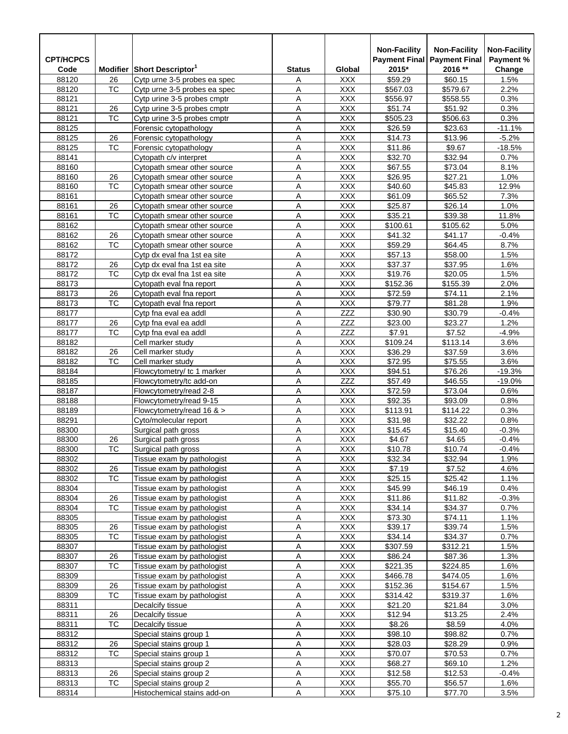| <b>CPT/HCPCS</b> |                 |                                                          |                     |                          | <b>Non-Facility</b> | <b>Non-Facility</b><br><b>Payment Final Payment Final</b> | <b>Non-Facility</b><br>Payment % |
|------------------|-----------------|----------------------------------------------------------|---------------------|--------------------------|---------------------|-----------------------------------------------------------|----------------------------------|
| Code             |                 | Modifier Short Descriptor                                | <b>Status</b>       | Global                   | 2015*               | 2016 **                                                   | Change                           |
| 88120            | 26              | Cytp urne 3-5 probes ea spec                             | Α                   | XXX                      | \$59.29             | \$60.15                                                   | 1.5%                             |
| 88120            | <b>TC</b>       | Cytp urne 3-5 probes ea spec                             | A                   | <b>XXX</b>               | \$567.03            | \$579.67                                                  | 2.2%                             |
| 88121            |                 | Cytp urine 3-5 probes cmptr                              | А                   | <b>XXX</b>               | \$556.97            | \$558.55                                                  | 0.3%                             |
| 88121            | 26              | Cytp urine 3-5 probes cmptr                              | Α                   | <b>XXX</b>               | \$51.74             | \$51.92                                                   | 0.3%                             |
| 88121            | тс              | Cytp urine 3-5 probes cmptr                              | Α                   | <b>XXX</b>               | \$505.23            | \$506.63                                                  | 0.3%                             |
| 88125            |                 | Forensic cytopathology                                   | A                   | <b>XXX</b>               | \$26.59             | \$23.63                                                   | $-11.1%$                         |
| 88125<br>88125   | 26<br>TC        | Forensic cytopathology                                   | Α                   | <b>XXX</b><br><b>XXX</b> | \$14.73<br>\$11.86  | \$13.96<br>\$9.67                                         | $-5.2%$<br>$-18.5%$              |
| 88141            |                 | Forensic cytopathology<br>Cytopath c/y interpret         | Α<br>А              | <b>XXX</b>               | \$32.70             | \$32.94                                                   | 0.7%                             |
| 88160            |                 | Cytopath smear other source                              | A                   | <b>XXX</b>               | \$67.55             | \$73.04                                                   | 8.1%                             |
| 88160            | 26              | Cytopath smear other source                              | А                   | <b>XXX</b>               | \$26.95             | \$27.21                                                   | 1.0%                             |
| 88160            | TC              | Cytopath smear other source                              | Α                   | <b>XXX</b>               | \$40.60             | \$45.83                                                   | 12.9%                            |
| 88161            |                 | Cytopath smear other source                              | Α                   | <b>XXX</b>               | \$61.09             | \$65.52                                                   | 7.3%                             |
| 88161            | 26              | Cytopath smear other source                              | A                   | <b>XXX</b>               | \$25.87             | \$26.14                                                   | 1.0%                             |
| 88161            | <b>TC</b>       | Cytopath smear other source                              | Α                   | <b>XXX</b>               | \$35.21             | \$39.38                                                   | 11.8%                            |
| 88162            |                 | Cytopath smear other source                              | Α                   | <b>XXX</b>               | \$100.61            | \$105.62                                                  | 5.0%                             |
| 88162            | 26              | Cytopath smear other source                              | А                   | <b>XXX</b>               | \$41.32             | \$41.17                                                   | $-0.4%$                          |
| 88162            | TC              | Cytopath smear other source                              | A                   | <b>XXX</b>               | \$59.29             | \$64.45                                                   | 8.7%                             |
| 88172            |                 | Cytp dx eval fna 1st ea site                             | А                   | <b>XXX</b>               | \$57.13             | \$58.00                                                   | 1.5%                             |
| 88172            | 26              | Cytp dx eval fna 1st ea site                             | Α                   | <b>XXX</b>               | \$37.37             | \$37.95                                                   | 1.6%                             |
| 88172            | тс              | Cytp dx eval fna 1st ea site                             | Α                   | <b>XXX</b>               | \$19.76             | \$20.05                                                   | 1.5%                             |
| 88173            |                 | Cytopath eval fna report                                 | A                   | <b>XXX</b>               | \$152.36            | \$155.39                                                  | 2.0%                             |
| 88173            | 26              | Cytopath eval fna report                                 | Α                   | <b>XXX</b>               | \$72.59             | \$74.11                                                   | 2.1%                             |
| 88173            | TC              | Cytopath eval fna report                                 | Α                   | <b>XXX</b>               | \$79.77             | \$81.28                                                   | 1.9%                             |
| 88177            |                 | Cytp fna eval ea addl                                    | Α                   | <b>ZZZ</b>               | \$30.90             | \$30.79                                                   | $-0.4%$                          |
| 88177            | 26              | Cytp fna eval ea addl                                    | A                   | ZZZ                      | \$23.00             | \$23.27                                                   | 1.2%                             |
| 88177            | <b>TC</b>       | Cytp fna eval ea addl                                    | А                   | <b>ZZZ</b>               | \$7.91              | \$7.52                                                    | -4.9%                            |
| 88182<br>88182   | 26              | Cell marker study<br>Cell marker study                   | Α                   | <b>XXX</b><br><b>XXX</b> | \$109.24<br>\$36.29 | \$113.14<br>\$37.59                                       | 3.6%<br>3.6%                     |
| 88182            | ТC              | Cell marker study                                        | Α<br>A              | <b>XXX</b>               | \$72.95             | \$75.55                                                   | 3.6%                             |
| 88184            |                 | Flowcytometry/ tc 1 marker                               | Α                   | <b>XXX</b>               | \$94.51             | \$76.26                                                   | $-19.3%$                         |
| 88185            |                 | Flowcytometry/tc add-on                                  | Α                   | ZZZ                      | \$57.49             | \$46.55                                                   | $-19.0%$                         |
| 88187            |                 | Flowcytometry/read 2-8                                   | А                   | <b>XXX</b>               | \$72.59             | \$73.04                                                   | 0.6%                             |
| 88188            |                 | Flowcytometry/read 9-15                                  | A                   | <b>XXX</b>               | \$92.35             | \$93.09                                                   | 0.8%                             |
| 88189            |                 | Flowcytometry/read 16 $>$                                | А                   | <b>XXX</b>               | \$113.91            | \$114.22                                                  | 0.3%                             |
| 88291            |                 | Cyto/molecular report                                    | Α                   | <b>XXX</b>               | \$31.98             | \$32.22                                                   | 0.8%                             |
| 88300            |                 | Surgical path gross                                      | Α                   | <b>XXX</b>               | \$15.45             | \$15.40                                                   | $-0.3%$                          |
| 88300            | 26              | Surgical path gross                                      | Α                   | XXX                      | \$4.67              | \$4.65                                                    | $-0.4%$                          |
| 88300            | <b>TC</b>       | Surgical path gross                                      | $\overline{A}$      | <b>XXX</b>               | \$10.78             | \$10.74                                                   | $-0.4%$                          |
| 88302            |                 | Tissue exam by pathologist                               | Α                   | XXX                      | \$32.34             | \$32.94                                                   | 1.9%                             |
| 88302            | 26              | Tissue exam by pathologist                               | <u>A</u>            | <b>XXX</b>               | \$7.19              | \$7.52                                                    | 4.6%                             |
| 88302            | ТC              | Tissue exam by pathologist                               | Α                   | XXX                      | \$25.15             | \$25.42                                                   | 1.1%                             |
| 88304            |                 | Tissue exam by pathologist                               | А                   | <b>XXX</b>               | \$45.99             | \$46.19                                                   | 0.4%                             |
| 88304            | 26              | Tissue exam by pathologist                               | Α                   | <b>XXX</b>               | \$11.86             | \$11.82                                                   | -0.3%                            |
| 88304<br>88305   | TC              | Tissue exam by pathologist<br>Tissue exam by pathologist | Α<br>Α              | <b>XXX</b><br>XXX        | \$34.14<br>\$73.30  | \$34.37<br>\$74.11                                        | 0.7%<br>1.1%                     |
| 88305            | 26              | Tissue exam by pathologist                               | A                   | XXX                      | \$39.17             | \$39.74                                                   | 1.5%                             |
| 88305            | TC              | Tissue exam by pathologist                               | Α                   | XXX                      | \$34.14             | \$34.37                                                   | $0.7\%$                          |
| 88307            |                 | Tissue exam by pathologist                               | Α                   | <b>XXX</b>               | \$307.59            | \$312.21                                                  | 1.5%                             |
| 88307            | 26              | Tissue exam by pathologist                               | Α                   | XXX                      | \$86.24             | \$87.36                                                   | 1.3%                             |
| 88307            | <b>TC</b>       | Tissue exam by pathologist                               | А                   | <b>XXX</b>               | \$221.35            | \$224.85                                                  | 1.6%                             |
| 88309            |                 | Tissue exam by pathologist                               | $\overline{A}$      | <b>XXX</b>               | \$466.78            | \$474.05                                                  | 1.6%                             |
| 88309            | 26              | Tissue exam by pathologist                               | Α                   | <b>XXX</b>               | \$152.36            | \$154.67                                                  | 1.5%                             |
| 88309            | TC              | Tissue exam by pathologist                               | Α                   | XXX                      | \$314.42            | \$319.37                                                  | 1.6%                             |
| 88311            |                 | Decalcify tissue                                         | А                   | XXX                      | \$21.20             | \$21.84                                                   | 3.0%                             |
| 88311            | 26              | Decalcify tissue                                         | Α                   | XXX                      | \$12.94             | \$13.25                                                   | 2.4%                             |
| 88311            | ТC              | Decalcify tissue                                         | Α                   | <b>XXX</b>               | \$8.26              | \$8.59                                                    | 4.0%                             |
| 88312            |                 | Special stains group 1                                   | Α                   | XXX                      | \$98.10             | \$98.82                                                   | 0.7%                             |
| 88312            | 26              | Special stains group 1                                   | А                   | <b>XXX</b>               | \$28.03             | \$28.29                                                   | 0.9%                             |
| 88312            | TC              | Special stains group 1                                   | $\overline{A}$      | <b>XXX</b>               | \$70.07             | \$70.53                                                   | $0.7\%$                          |
| 88313            |                 | Special stains group 2                                   | Α                   | <b>XXX</b>               | \$68.27             | \$69.10                                                   | 1.2%                             |
| 88313<br>88313   | 26<br><b>TC</b> | Special stains group 2<br>Special stains group 2         | А<br>$\overline{A}$ | XXX<br><b>XXX</b>        | \$12.58<br>\$55.70  | \$12.53<br>\$56.57                                        | $-0.4%$<br>1.6%                  |
| 88314            |                 | Histochemical stains add-on                              | Α                   | <b>XXX</b>               | \$75.10             | \$77.70                                                   | 3.5%                             |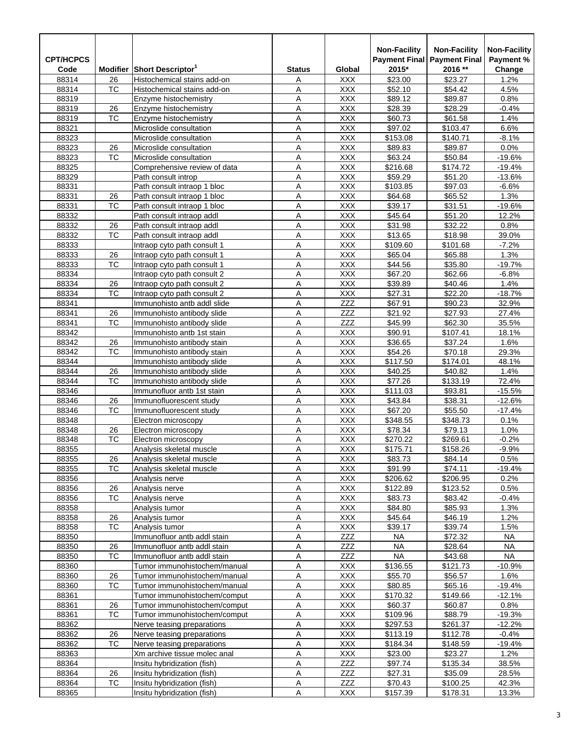| <b>CPT/HCPCS</b> |                 |                                                          |                |                          | <b>Non-Facility</b><br><b>Payment Final</b> | <b>Non-Facility</b><br><b>Payment Final</b> | <b>Non-Facility</b><br>Payment % |
|------------------|-----------------|----------------------------------------------------------|----------------|--------------------------|---------------------------------------------|---------------------------------------------|----------------------------------|
| Code             |                 | Modifier Short Descriptor                                | <b>Status</b>  | Global                   | 2015*                                       | 2016 **                                     | Change                           |
| 88314            | 26              | Histochemical stains add-on                              | Α              | <b>XXX</b>               | \$23.00                                     | \$23.27                                     | 1.2%                             |
| 88314            | <b>TC</b>       | Histochemical stains add-on                              | Α              | <b>XXX</b>               | \$52.10                                     | \$54.42                                     | 4.5%                             |
| 88319            |                 | Enzyme histochemistry                                    | Α              | <b>XXX</b>               | \$89.12                                     | \$89.87                                     | 0.8%                             |
| 88319            | 26              | Enzyme histochemistry                                    | Α              | <b>XXX</b>               | \$28.39                                     | \$28.29                                     | $-0.4%$                          |
| 88319            | ТC              | Enzyme histochemistry                                    | Α              | <b>XXX</b>               | \$60.73                                     | \$61.58                                     | 1.4%                             |
| 88321            |                 | Microslide consultation                                  | Α              | <b>XXX</b>               | \$97.02                                     | \$103.47                                    | 6.6%                             |
| 88323            |                 | Microslide consultation<br>Microslide consultation       | Α              | <b>XXX</b>               | \$153.08                                    | \$140.71                                    | $-8.1%$                          |
| 88323<br>88323   | 26<br>TC        | Microslide consultation                                  | Α<br>Α         | <b>XXX</b><br><b>XXX</b> | \$89.83<br>\$63.24                          | \$89.87<br>\$50.84                          | 0.0%<br>$-19.6%$                 |
| 88325            |                 | Comprehensive review of data                             | Α              | <b>XXX</b>               | \$216.68                                    | \$174.72                                    | $-19.4%$                         |
| 88329            |                 | Path consult introp                                      | Α              | <b>XXX</b>               | \$59.29                                     | \$51.20                                     | $-13.6%$                         |
| 88331            |                 | Path consult intraop 1 bloc                              | Α              | <b>XXX</b>               | \$103.85                                    | \$97.03                                     | $-6.6%$                          |
| 88331            | 26              | Path consult intraop 1 bloc                              | Α              | <b>XXX</b>               | \$64.68                                     | \$65.52                                     | 1.3%                             |
| 88331            | TC              | Path consult intraop 1 bloc                              | Α              | <b>XXX</b>               | \$39.17                                     | \$31.51                                     | $-19.6%$                         |
| 88332            |                 | Path consult intraop addl                                | Α              | <b>XXX</b>               | \$45.64                                     | \$51.20                                     | 12.2%                            |
| 88332            | 26              | Path consult intraop addl                                | Α              | <b>XXX</b>               | \$31.98                                     | \$32.22                                     | 0.8%                             |
| 88332            | TC              | Path consult intraop addl                                | Α              | <b>XXX</b>               | \$13.65                                     | \$18.98                                     | 39.0%                            |
| 88333            |                 | Intraop cyto path consult 1                              | Α              | <b>XXX</b>               | \$109.60                                    | \$101.68                                    | $-7.2%$                          |
| 88333            | 26              | Intraop cyto path consult 1                              | Α              | <b>XXX</b>               | \$65.04                                     | \$65.88                                     | 1.3%                             |
| 88333            | <b>TC</b>       | Intraop cyto path consult 1                              | Α              | <b>XXX</b>               | \$44.56                                     | \$35.80                                     | $-19.7%$                         |
| 88334            |                 | Intraop cyto path consult 2                              | Α              | <b>XXX</b>               | \$67.20                                     | \$62.66                                     | $-6.8%$                          |
| 88334            | 26              | Intraop cyto path consult 2                              | Α              | <b>XXX</b>               | \$39.89                                     | \$40.46                                     | 1.4%                             |
| 88334            | ТC              | Intraop cyto path consult 2                              | Α              | <b>XXX</b>               | \$27.31                                     | \$22.20                                     | $-18.7%$                         |
| 88341            |                 | Immunohisto antb addl slide                              | А              | <b>ZZZ</b>               | \$67.91                                     | \$90.23                                     | 32.9%                            |
| 88341<br>88341   | 26<br><b>TC</b> | Immunohisto antibody slide<br>Immunohisto antibody slide | Α<br>Α         | ZZZ<br>ZZZ               | \$21.92<br>\$45.99                          | \$27.93<br>\$62.30                          | 27.4%<br>35.5%                   |
| 88342            |                 | Immunohisto antb 1st stain                               | Α              | XXX                      | \$90.91                                     | \$107.41                                    | 18.1%                            |
| 88342            | 26              | Immunohisto antibody stain                               | Α              | <b>XXX</b>               | \$36.65                                     | \$37.24                                     | 1.6%                             |
| 88342            | ТC              | Immunohisto antibody stain                               | Α              | <b>XXX</b>               | \$54.26                                     | \$70.18                                     | 29.3%                            |
| 88344            |                 | Immunohisto antibody slide                               | Α              | <b>XXX</b>               | \$117.50                                    | \$174.01                                    | 48.1%                            |
| 88344            | 26              | Immunohisto antibody slide                               | Α              | <b>XXX</b>               | \$40.25                                     | \$40.82                                     | 1.4%                             |
| 88344            | TC              | Immunohisto antibody slide                               | Α              | <b>XXX</b>               | \$77.26                                     | \$133.19                                    | 72.4%                            |
| 88346            |                 | Immunofluor antb 1st stain                               | Α              | <b>XXX</b>               | \$111.03                                    | \$93.81                                     | $-15.5%$                         |
| 88346            | 26              | Immunofluorescent study                                  | Α              | <b>XXX</b>               | \$43.84                                     | \$38.31                                     | $-12.6%$                         |
| 88346            | <b>TC</b>       | Immunofluorescent study                                  | Α              | <b>XXX</b>               | \$67.20                                     | \$55.50                                     | $-17.4%$                         |
| 88348            |                 | Electron microscopy                                      | Α              | <b>XXX</b>               | \$348.55                                    | \$348.73                                    | 0.1%                             |
| 88348            | 26              | Electron microscopy                                      | Α              | <b>XXX</b>               | \$78.34                                     | \$79.13                                     | 1.0%                             |
| 88348            | TC              | Electron microscopy                                      | Α              | XXX                      | \$270.22                                    | \$269.61                                    | $-0.2%$                          |
| 88355            |                 | Analysis skeletal muscle                                 | $\overline{A}$ | <b>XXX</b>               | \$175.71                                    | \$158.26                                    | $-9.9%$                          |
| 88355            | 26<br>TC        | Analysis skeletal muscle<br>Analysis skeletal muscle     | Α              | <b>XXX</b>               | \$83.73                                     | \$84.14                                     | 0.5%                             |
| 88355<br>88356   |                 | Analysis nerve                                           | A<br>Α         | <b>XXX</b><br><b>XXX</b> | \$91.99<br>\$206.62                         | \$74.11<br>\$206.95                         | $-19.4%$<br>0.2%                 |
| 88356            | 26              | Analysis nerve                                           | А              | <b>XXX</b>               | \$122.89                                    | \$123.52                                    | 0.5%                             |
| 88356            | TC              | Analysis nerve                                           | Α              | <b>XXX</b>               | \$83.73                                     | \$83.42                                     | $-0.4%$                          |
| 88358            |                 | Analysis tumor                                           | Α              | XXX                      | \$84.80                                     | \$85.93                                     | 1.3%                             |
| 88358            | 26              | Analysis tumor                                           | А              | <b>XXX</b>               | \$45.64                                     | \$46.19                                     | 1.2%                             |
| 88358            | TC              | Analysis tumor                                           | Α              | <b>XXX</b>               | \$39.17                                     | \$39.74                                     | 1.5%                             |
| 88350            |                 | Immunofluor antb addl stain                              | Α              | ZZZ                      | NA                                          | \$72.32                                     | NA                               |
| 88350            | 26              | Immunofluor antb addl stain                              | Α              | ZZZ                      | <b>NA</b>                                   | \$28.64                                     | NA                               |
| 88350            | TC              | Immunofluor antb addl stain                              | А              | ZZZ                      | <b>NA</b>                                   | \$43.68                                     | <b>NA</b>                        |
| 88360            |                 | Tumor immunohistochem/manual                             | А              | <b>XXX</b>               | \$136.55                                    | \$121.73                                    | $-10.9%$                         |
| 88360            | 26              | Tumor immunohistochem/manual                             | Α              | <b>XXX</b>               | \$55.70                                     | \$56.57                                     | 1.6%                             |
| 88360            | TC              | Tumor immunohistochem/manual                             | Α              | XXX.                     | \$80.85                                     | \$65.16                                     | $-19.4%$                         |
| 88361            |                 | Tumor immunohistochem/comput                             | Α              | <b>XXX</b>               | \$170.32                                    | \$149.66                                    | $-12.1%$                         |
| 88361            | 26              | Tumor immunohistochem/comput                             | Α              | <b>XXX</b>               | \$60.37                                     | \$60.87                                     | 0.8%                             |
| 88361            | TC              | Tumor immunohistochem/comput                             | Α              | <b>XXX</b>               | \$109.96                                    | \$88.79                                     | $-19.3%$                         |
| 88362<br>88362   | 26              | Nerve teasing preparations                               | Α<br>Α         | XXX.<br><b>XXX</b>       | \$297.53                                    | \$261.37<br>\$112.78                        | $-12.2%$<br>$-0.4%$              |
| 88362            | <b>TC</b>       | Nerve teasing preparations<br>Nerve teasing preparations | А              | <b>XXX</b>               | \$113.19<br>\$184.34                        | \$148.59                                    | $-19.4%$                         |
| 88363            |                 | Xm archive tissue molec anal                             | Α              | <b>XXX</b>               | \$23.00                                     | \$23.27                                     | 1.2%                             |
| 88364            |                 | Insitu hybridization (fish)                              | Α              | ZZZ                      | \$97.74                                     | \$135.34                                    | 38.5%                            |
| 88364            | 26              | Insitu hybridization (fish)                              | Α              | ZZZ                      | \$27.31                                     | \$35.09                                     | 28.5%                            |
| 88364            | TC              | Insitu hybridization (fish)                              | Α              | ZZZ                      | \$70.43                                     | \$100.25                                    | 42.3%                            |
| 88365            |                 | Insitu hybridization (fish)                              | Α              | <b>XXX</b>               | \$157.39                                    | \$178.31                                    | 13.3%                            |